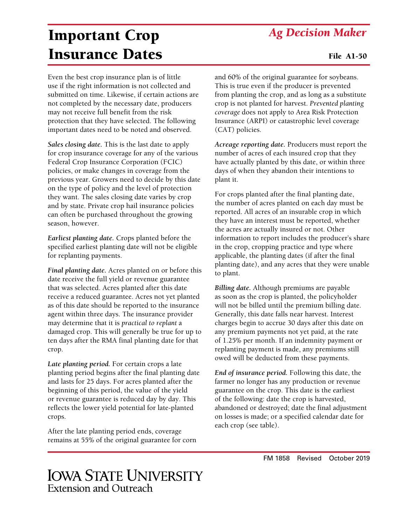## *Ag Decision Maker*

## Important Crop Insurance Dates

Even the best crop insurance plan is of little use if the right information is not collected and submitted on time. Likewise, if certain actions are not completed by the necessary date, producers may not receive full benefit from the risk protection that they have selected. The following important dates need to be noted and observed.

*Sales closing date.* This is the last date to apply for crop insurance coverage for any of the various Federal Crop Insurance Corporation (FCIC) policies, or make changes in coverage from the previous year. Growers need to decide by this date on the type of policy and the level of protection they want. The sales closing date varies by crop and by state. Private crop hail insurance policies can often be purchased throughout the growing season, however.

*Earliest planting date.* Crops planted before the specified earliest planting date will not be eligible for replanting payments.

*Final planting date.* Acres planted on or before this date receive the full yield or revenue guarantee that was selected. Acres planted after this date receive a reduced guarantee. Acres not yet planted as of this date should be reported to the insurance agent within three days. The insurance provider may determine that it is *practical to replant* a damaged crop. This will generally be true for up to ten days after the RMA final planting date for that crop.

*Late planting period.* For certain crops a late planting period begins after the final planting date and lasts for 25 days. For acres planted after the beginning of this period, the value of the yield or revenue guarantee is reduced day by day. This reflects the lower yield potential for late-planted crops.

After the late planting period ends, coverage remains at 55% of the original guarantee for corn and 60% of the original guarantee for soybeans. This is true even if the producer is prevented from planting the crop, and as long as a substitute crop is not planted for harvest. *Prevented planting coverage* does not apply to Area Risk Protection Insurance (ARPI) or catastrophic level coverage (CAT) policies.

*Acreage reporting date.* Producers must report the number of acres of each insured crop that they have actually planted by this date, or within three days of when they abandon their intentions to plant it.

For crops planted after the final planting date, the number of acres planted on each day must be reported. All acres of an insurable crop in which they have an interest must be reported, whether the acres are actually insured or not. Other information to report includes the producer's share in the crop, cropping practice and type where applicable, the planting dates (if after the final planting date), and any acres that they were unable to plant.

*Billing date.* Although premiums are payable as soon as the crop is planted, the policyholder will not be billed until the premium billing date. Generally, this date falls near harvest. Interest charges begin to accrue 30 days after this date on any premium payments not yet paid, at the rate of 1.25% per month. If an indemnity payment or replanting payment is made, any premiums still owed will be deducted from these payments.

*End of insurance period.* Following this date, the farmer no longer has any production or revenue guarantee on the crop. This date is the earliest of the following: date the crop is harvested, abandoned or destroyed; date the final adjustment on losses is made; or a specified calendar date for each crop (see table).

## **IOWA STATE UNIVERSITY** Extension and Outreach